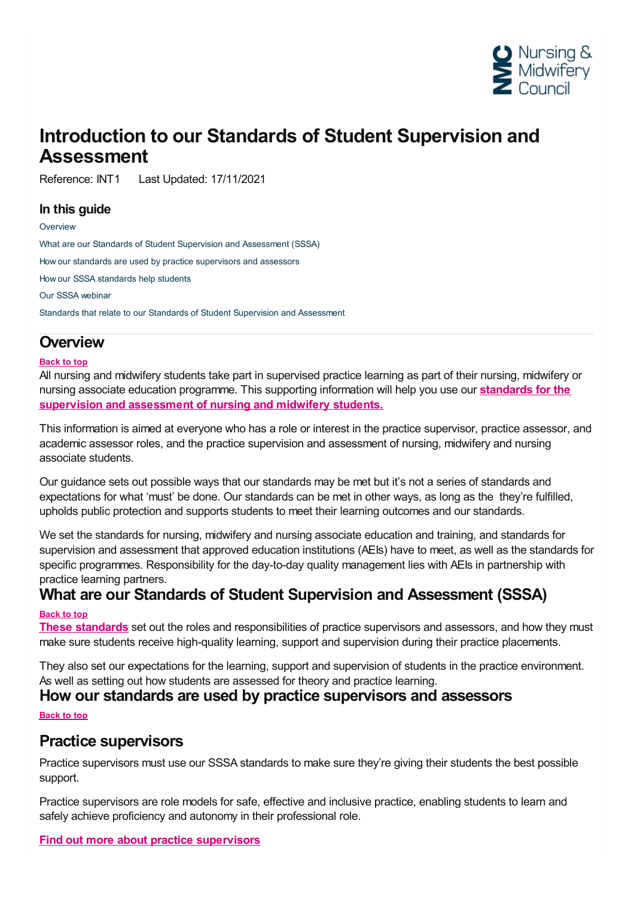

# **Introduction to our Standards of Student Supervision and Assessment**

Reference: INT1 Last Updated: 17/11/2021

### **In this guide**

**[Overview](#page-0-0)** What are our Standards of Student Supervision and [Assessment](#page-0-1) (SSSA) How our standards are used by practice [supervisors](#page-0-2) and assessors How our SSSA [standards](#page-1-0) help students Our SSSA [webinar](#page-1-1) Standards that relate to our Standards of Student Supervision and [Assessment](#page-1-2)

# <span id="page-0-0"></span>**Overview**

#### **Back to top**

All nursing and midwifery students take part in supervised practice learning as part of their nursing, midwifery or nursing associate education [programme.](https://www.nmc.org.uk/standards-for-education-and-training/standards-for-student-supervision-and-assessment/) This supporting information will help you use our **standards for the supervision and assessment of nursing and midwifery students.**

This information is aimed at everyone who has a role or interest in the practice supervisor, practice assessor, and academic assessor roles, and the practice supervision and assessment of nursing, midwifery and nursing associate students.

Our guidance sets out possible ways that our standards may be met but it's not a series of standards and expectations for what 'must' be done. Our standards can be met in other ways, as long as the they're fulfilled, upholds public protection and supports students to meet their learning outcomes and our standards.

We set the standards for nursing, midwifery and nursing associate education and training, and standards for supervision and assessment that approved education institutions (AEIs) have to meet, as well as the standards for specific programmes. Responsibility for the day-to-day quality management lies with AEIs in partnership with

# <span id="page-0-1"></span>practice learning partners. **What are our Standards of Student Supervision and Assessment (SSSA)**

#### **Back to top**

**These [standards](https://www.nmc.org.uk/standards-for-education-and-training/standards-for-student-supervision-and-assessment/)** set out the roles and responsibilities of practice supervisors and assessors, and how they must make sure students receive high-quality learning, support and supervision during their practice placements.

They also set our expectations for the learning, support and supervision of students in the practice environment. As well as setting out how students are assessed for theory and practice learning.

### <span id="page-0-2"></span>**How our standards are used by practice supervisors and assessors**

### **Back to top**

# **Practice supervisors**

Practice supervisors must use our SSSA standards to make sure they're giving their students the best possible support.

Practice supervisors are role models for safe, effective and inclusive practice, enabling students to learn and safely achieve proficiency and autonomy in their professional role.

## **Find out more about practice [supervisors](https://www.nmc.org.uk/supporting-information-on-standards-for-student-supervision-and-assessment/practice-supervision/)**